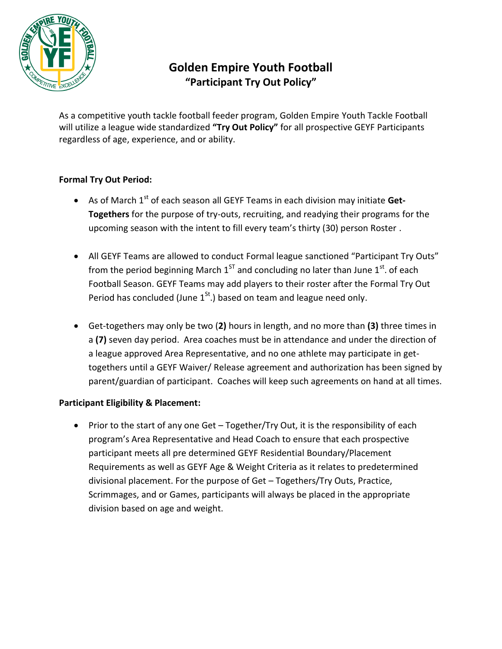

# **Golden Empire Youth Football "Participant Try Out Policy"**

As a competitive youth tackle football feeder program, Golden Empire Youth Tackle Football will utilize a league wide standardized **"Try Out Policy"** for all prospective GEYF Participants regardless of age, experience, and or ability.

# **Formal Try Out Period:**

- As of March 1<sup>st</sup> of each season all GEYF Teams in each division may initiate Get-**Togethers** for the purpose of try-outs, recruiting, and readying their programs for the upcoming season with the intent to fill every team's thirty (30) person Roster .
- All GEYF Teams are allowed to conduct Formal league sanctioned "Participant Try Outs" from the period beginning March  $1^{ST}$  and concluding no later than June  $1^{st}$ . of each Football Season. GEYF Teams may add players to their roster after the Formal Try Out Period has concluded (June  $1<sup>St</sup>$ .) based on team and league need only.
- Get-togethers may only be two (**2)** hours in length, and no more than **(3)** three times in a **(7)** seven day period. Area coaches must be in attendance and under the direction of a league approved Area Representative, and no one athlete may participate in gettogethers until a GEYF Waiver/ Release agreement and authorization has been signed by parent/guardian of participant. Coaches will keep such agreements on hand at all times.

## **Participant Eligibility & Placement:**

 Prior to the start of any one Get – Together/Try Out, it is the responsibility of each program's Area Representative and Head Coach to ensure that each prospective participant meets all pre determined GEYF Residential Boundary/Placement Requirements as well as GEYF Age & Weight Criteria as it relates to predetermined divisional placement. For the purpose of Get – Togethers/Try Outs, Practice, Scrimmages, and or Games, participants will always be placed in the appropriate division based on age and weight.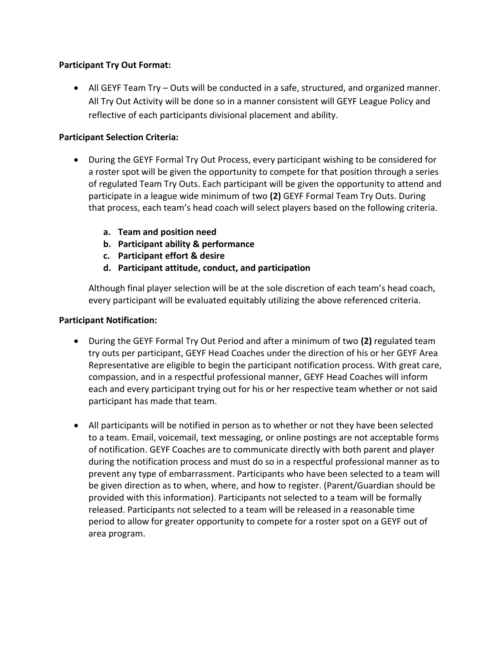## **Participant Try Out Format:**

 All GEYF Team Try – Outs will be conducted in a safe, structured, and organized manner. All Try Out Activity will be done so in a manner consistent will GEYF League Policy and reflective of each participants divisional placement and ability.

# **Participant Selection Criteria:**

- During the GEYF Formal Try Out Process, every participant wishing to be considered for a roster spot will be given the opportunity to compete for that position through a series of regulated Team Try Outs. Each participant will be given the opportunity to attend and participate in a league wide minimum of two **(2)** GEYF Formal Team Try Outs. During that process, each team's head coach will select players based on the following criteria.
	- **a. Team and position need**
	- **b. Participant ability & performance**
	- **c. Participant effort & desire**
	- **d. Participant attitude, conduct, and participation**

Although final player selection will be at the sole discretion of each team's head coach, every participant will be evaluated equitably utilizing the above referenced criteria.

## **Participant Notification:**

- During the GEYF Formal Try Out Period and after a minimum of two **(2)** regulated team try outs per participant, GEYF Head Coaches under the direction of his or her GEYF Area Representative are eligible to begin the participant notification process. With great care, compassion, and in a respectful professional manner, GEYF Head Coaches will inform each and every participant trying out for his or her respective team whether or not said participant has made that team.
- All participants will be notified in person as to whether or not they have been selected to a team. Email, voicemail, text messaging, or online postings are not acceptable forms of notification. GEYF Coaches are to communicate directly with both parent and player during the notification process and must do so in a respectful professional manner as to prevent any type of embarrassment. Participants who have been selected to a team will be given direction as to when, where, and how to register. (Parent/Guardian should be provided with this information). Participants not selected to a team will be formally released. Participants not selected to a team will be released in a reasonable time period to allow for greater opportunity to compete for a roster spot on a GEYF out of area program.